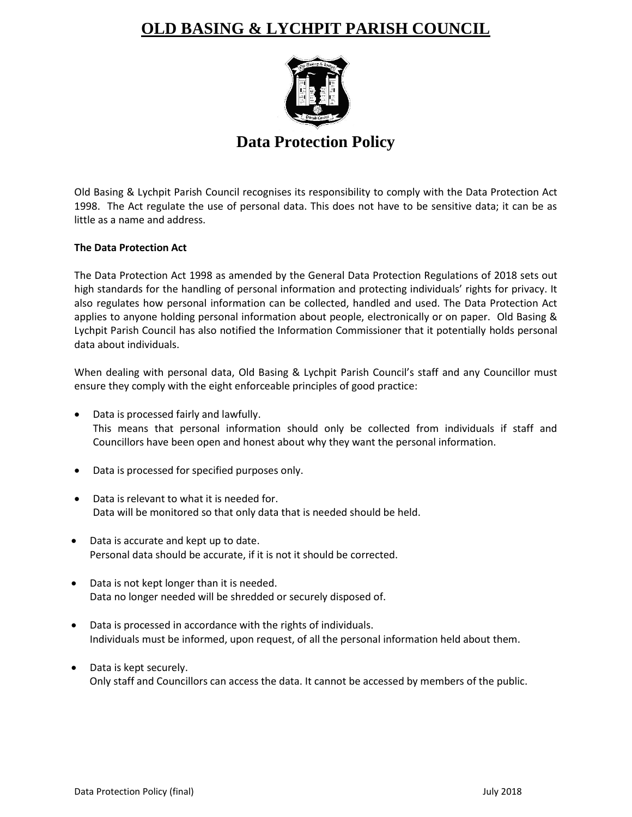# **OLD BASING & LYCHPIT PARISH COUNCIL**



## **Data Protection Policy**

Old Basing & Lychpit Parish Council recognises its responsibility to comply with the Data Protection Act 1998. The Act regulate the use of personal data. This does not have to be sensitive data; it can be as little as a name and address.

## **The Data Protection Act**

The Data Protection Act 1998 as amended by the General Data Protection Regulations of 2018 sets out high standards for the handling of personal information and protecting individuals' rights for privacy. It also regulates how personal information can be collected, handled and used. The Data Protection Act applies to anyone holding personal information about people, electronically or on paper. Old Basing & Lychpit Parish Council has also notified the Information Commissioner that it potentially holds personal data about individuals.

When dealing with personal data, Old Basing & Lychpit Parish Council's staff and any Councillor must ensure they comply with the eight enforceable principles of good practice:

- Data is processed fairly and lawfully. This means that personal information should only be collected from individuals if staff and Councillors have been open and honest about why they want the personal information.
- Data is processed for specified purposes only.
- Data is relevant to what it is needed for. Data will be monitored so that only data that is needed should be held.
- Data is accurate and kept up to date. Personal data should be accurate, if it is not it should be corrected.
- Data is not kept longer than it is needed. Data no longer needed will be shredded or securely disposed of.
- Data is processed in accordance with the rights of individuals. Individuals must be informed, upon request, of all the personal information held about them.
- Data is kept securely. Only staff and Councillors can access the data. It cannot be accessed by members of the public.